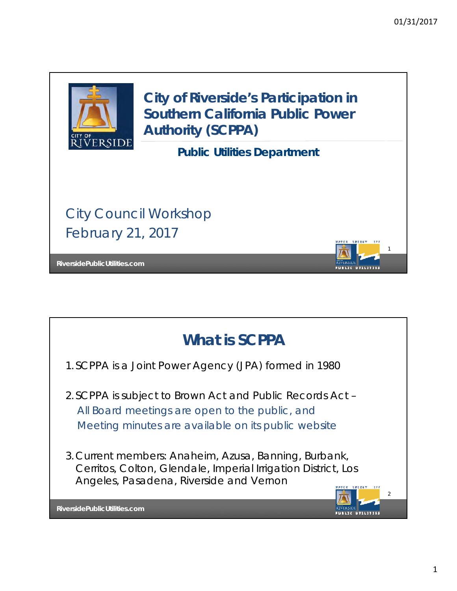1

PUBLIC UTILITIES



**City of Riverside's Participation in Southern California Public Power Authority (SCPPA)**

**Public Utilities Department**

City Council Workshop February 21, 2017

**RiversidePublicUtilities.com**



1.SCPPA is a Joint Power Agency (JPA) formed in 1980

- 2.SCPPA is subject to Brown Act and Public Records Act *All Board meetings are open to the public, and Meeting minutes are available on its public website*
- 3.Current members: Anaheim, Azusa, Banning, Burbank, Cerritos, Colton, Glendale, Imperial Irrigation District, Los Angeles, Pasadena, Riverside and Vernon

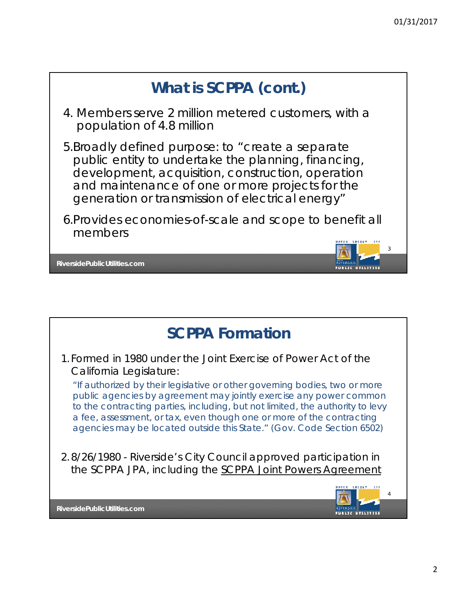

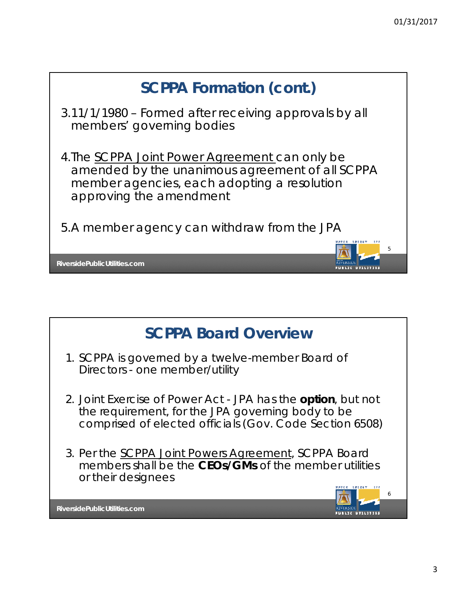

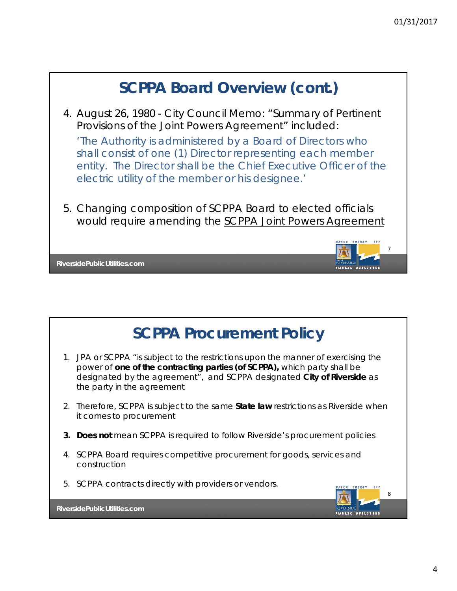

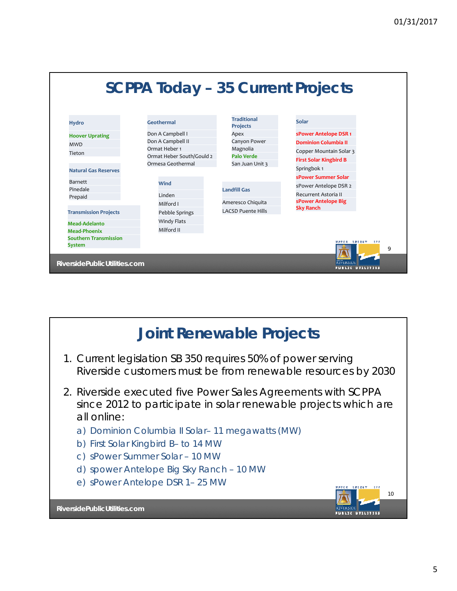

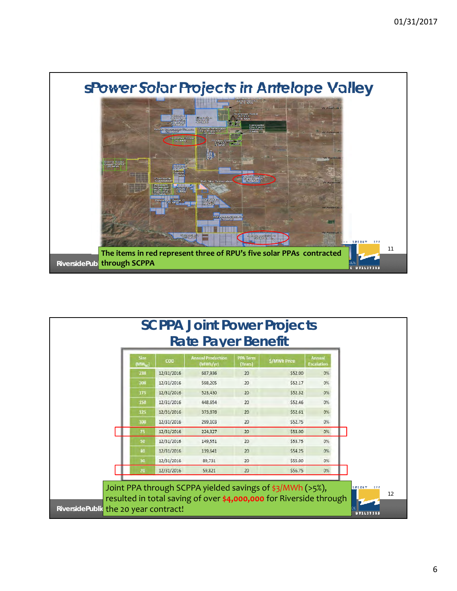

| Size<br>(MW <sub>ar</sub> ) | COD        | <b>Annual Production</b><br>(MWh/yr) | <b>PPA Term</b><br>(Years) | <b>S/MWh Price</b> | <b>Annual</b><br><b>Escalation</b> |
|-----------------------------|------------|--------------------------------------|----------------------------|--------------------|------------------------------------|
| 230                         | 12/31/2016 | 687,936                              | 20                         | \$52.00            | 0%                                 |
| 200                         | 12/31/2016 | 598,205                              | 20                         | \$52.17            | 0%                                 |
| 175                         | 12/31/2016 | 523,430                              | 20                         | \$52.32            | $O\%$                              |
| 150                         | 12/31/2016 | 448,654                              | 20                         | \$52.46            | 0%                                 |
| 125                         | 12/31/2016 | 373,878                              | 20                         | \$52.61            | $O\%$                              |
| 100                         | 12/31/2016 | 299,103                              | 20                         | \$52.75            | 0%                                 |
| 75                          | 12/31/2016 | 224,327                              | 20                         | \$53.00            | O%                                 |
| 50                          | 12/31/2016 | 149,551                              | 20                         | \$53.75            | 0%                                 |
| 40                          | 12/31/2016 | 119,641                              | 20                         | \$54.25            | 0%                                 |
| 30                          | 12/31/2016 | 89,731                               | 20                         | \$55.00            | O%                                 |
| 20                          | 12/31/2016 | 59,821                               | 20                         | \$56.75            | 0%                                 |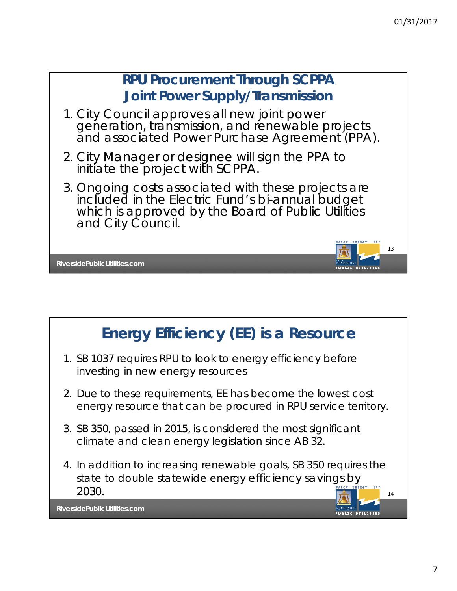

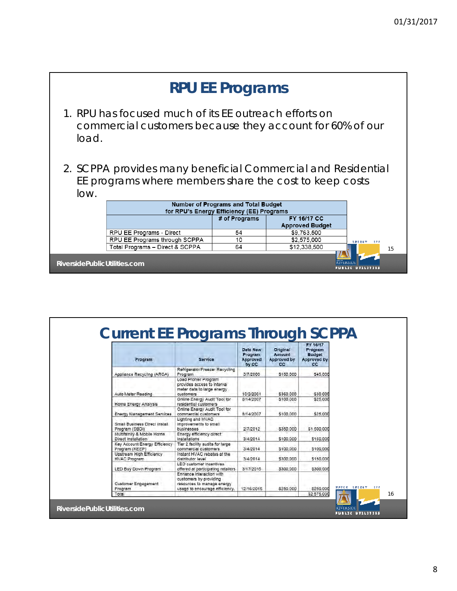|                              |                                                                                                                        | <b>RPU EE Programs</b>                                                           |                                       |                             |
|------------------------------|------------------------------------------------------------------------------------------------------------------------|----------------------------------------------------------------------------------|---------------------------------------|-----------------------------|
| load.                        | 1. RPU has focused much of its EE outreach efforts on<br>commercial customers because they account for 60% of our      |                                                                                  |                                       |                             |
| low.                         | 2. SCPPA provides many beneficial Commercial and Residential<br>EE programs where members share the cost to keep costs |                                                                                  |                                       |                             |
|                              |                                                                                                                        | Number of Programs and Total Budget<br>for RPU's Energy Efficiency (EE) Programs |                                       |                             |
|                              |                                                                                                                        | # of Programs                                                                    | FY 16/17 CC<br><b>Approved Budget</b> |                             |
|                              | RPU EE Programs - Direct                                                                                               | 54                                                                               | \$9,763,500                           |                             |
|                              | RPU EE Programs through SCPPA                                                                                          | 10                                                                               | \$2,575,000                           | <b><i>REERSY</i></b><br>222 |
|                              | Total Programs - Direct & SCPPA                                                                                        | 64                                                                               | \$12,338,500                          | 15                          |
| RiversidePublicUtilities.com |                                                                                                                        |                                                                                  | RTVERSI DI                            | UBLIC UTILITIES             |

| Program                                          | <b>Service</b>                                                                                                     | Data New<br>Program<br>Approved<br>by CC | Original<br>Amount<br><b>Approved by</b><br>CC. | FY 16/17<br>Program<br><b>Budget</b><br><b>Approved by</b><br>CC |
|--------------------------------------------------|--------------------------------------------------------------------------------------------------------------------|------------------------------------------|-------------------------------------------------|------------------------------------------------------------------|
| Appliance Recycling (ARCA)                       | Refrigerator/Freezer Recycling<br>Program                                                                          | 3/7/2000                                 | \$150,000                                       | \$45,000                                                         |
| Auto Meter Reading                               | Load Profiler Program<br>provides access to interval<br>meter data to large energy<br>customers                    | 10/2/2001                                | \$360.000                                       | \$30.000                                                         |
| Home Energy Analysis                             | Online Energy Audit Tool for<br>residential customers                                                              | 8/14/2007                                | \$100,000                                       | \$25,000                                                         |
| <b>Energy Management Services</b>                | Online Energy Audit Tool for<br>commercial customers                                                               | 8/14/2007                                | \$100,000                                       | \$25,000                                                         |
| Small Business Direct Install.<br>Program (SBDI) | Lighting and HVAC<br>improvements to small<br>businesses                                                           | 2/7/2012                                 | \$350,000                                       | \$1,500,000                                                      |
| Multifamily & Mobile Home<br>Direct Installation | Energy efficiency direct<br>installations                                                                          | 3/4/2014                                 | \$100,000                                       | \$150,000                                                        |
| Key Account Energy Efficiency<br>Program (KEEP)  | Tier 2 facility audits for large<br>commercial customers                                                           | 3/4/2014                                 | \$100,000                                       | \$100,000                                                        |
| Upstream High Efficiency<br><b>HVAC Program</b>  | Instant HVAC rebates at the<br>distributor level                                                                   | 3/4/2014                                 | \$300,000                                       | \$150,000                                                        |
| LED Buy Down Program                             | LED customer incentives<br>offered at participating retailers.                                                     | 3/17/2015                                | \$300,000                                       | \$300,000                                                        |
| Customer Engagement<br>Program                   | Enhance Interaction with<br>customers by providing<br>resources to manage energy<br>usage to encourage efficiency. | 12/16/2016                               | \$250,000                                       | \$250,000                                                        |
| Total                                            |                                                                                                                    |                                          |                                                 | \$2,575,000                                                      |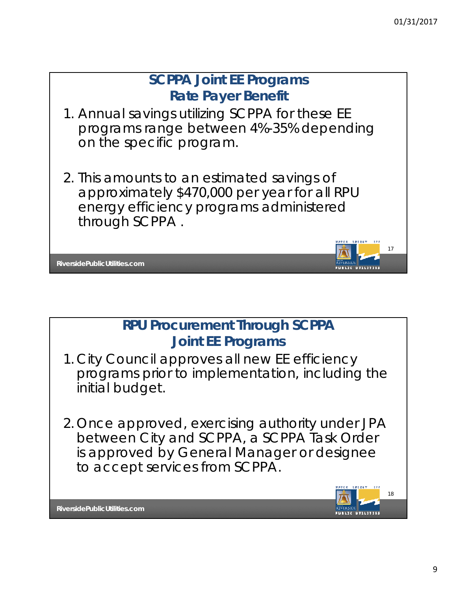

## **RPU Procurement Through SCPPA Joint EE Programs**

- 1. City Council approves all new EE efficiency programs prior to implementation, including the initial budget.
- 2. Once approved, exercising authority under JPA between City and SCPPA, a SCPPA Task Order is approved by General Manager or designee to accept services from SCPPA.

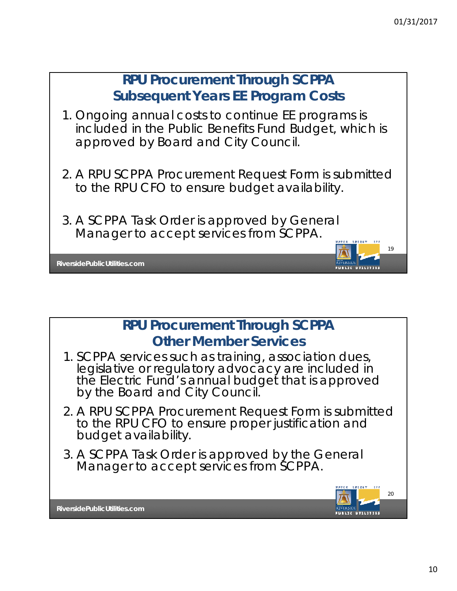



- 1. SCPPA services such as training, association dues, legislative or regulatory advocacy are included in the Electric Fund's annual budget that is approved by the Board and City Council.
- 2. A RPU SCPPA Procurement Request Form is submitted to the RPU CFO to ensure proper justification and budget availability.
- 3. A SCPPA Task Order is approved by the General Manager to accept services from SCPPA.

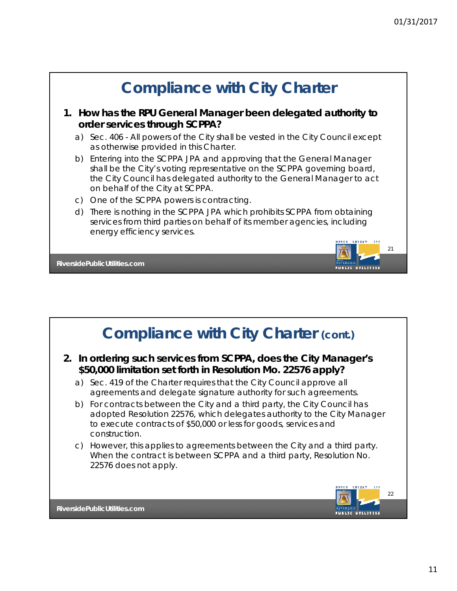

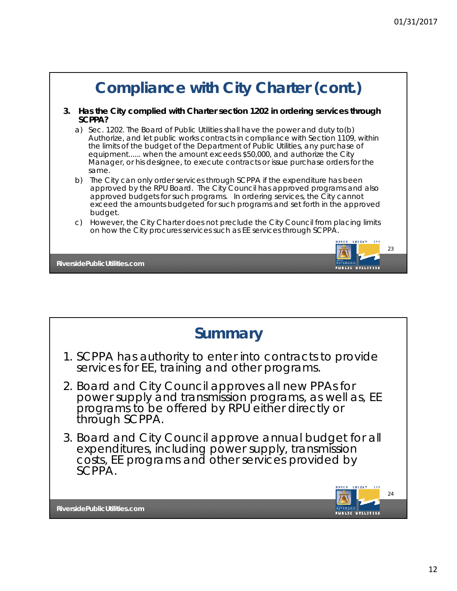

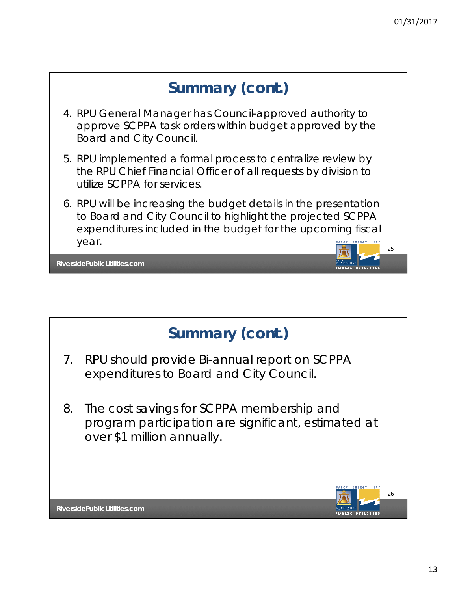



- 7. RPU should provide Bi-annual report on SCPPA expenditures to Board and City Council.
- 8. The cost savings for SCPPA membership and program participation are significant, estimated at over \$1 million annually.